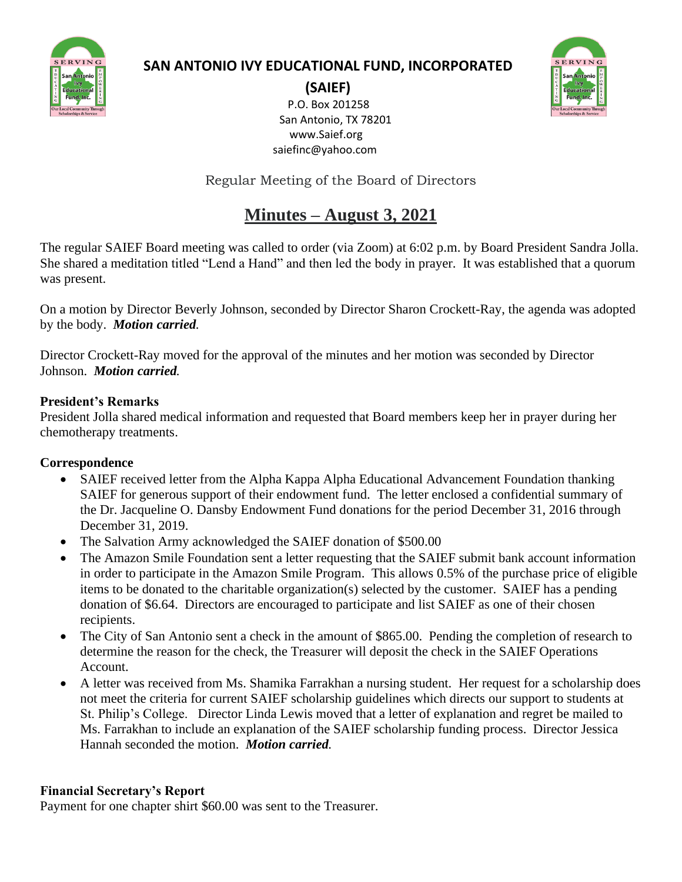

# **SAN ANTONIO IVY EDUCATIONAL FUND, INCORPORATED**

**(SAIEF)** P.O. Box 201258 San Antonio, TX 78201 www.Saief.org saiefinc@yahoo.com

Regular Meeting of the Board of Directors

# **Minutes – August 3, 2021**

The regular SAIEF Board meeting was called to order (via Zoom) at 6:02 p.m. by Board President Sandra Jolla. She shared a meditation titled "Lend a Hand" and then led the body in prayer. It was established that a quorum was present.

On a motion by Director Beverly Johnson, seconded by Director Sharon Crockett-Ray, the agenda was adopted by the body. *Motion carried.*

Director Crockett-Ray moved for the approval of the minutes and her motion was seconded by Director Johnson. *Motion carried.*

### **President's Remarks**

President Jolla shared medical information and requested that Board members keep her in prayer during her chemotherapy treatments.

# **Correspondence**

- SAIEF received letter from the Alpha Kappa Alpha Educational Advancement Foundation thanking SAIEF for generous support of their endowment fund. The letter enclosed a confidential summary of the Dr. Jacqueline O. Dansby Endowment Fund donations for the period December 31, 2016 through December 31, 2019.
- The Salvation Army acknowledged the SAIEF donation of \$500.00
- The Amazon Smile Foundation sent a letter requesting that the SAIEF submit bank account information in order to participate in the Amazon Smile Program. This allows 0.5% of the purchase price of eligible items to be donated to the charitable organization(s) selected by the customer. SAIEF has a pending donation of \$6.64. Directors are encouraged to participate and list SAIEF as one of their chosen recipients.
- The City of San Antonio sent a check in the amount of \$865.00. Pending the completion of research to determine the reason for the check, the Treasurer will deposit the check in the SAIEF Operations Account.
- A letter was received from Ms. Shamika Farrakhan a nursing student. Her request for a scholarship does not meet the criteria for current SAIEF scholarship guidelines which directs our support to students at St. Philip's College. Director Linda Lewis moved that a letter of explanation and regret be mailed to Ms. Farrakhan to include an explanation of the SAIEF scholarship funding process. Director Jessica Hannah seconded the motion. *Motion carried.*

# **Financial Secretary's Report**

Payment for one chapter shirt \$60.00 was sent to the Treasurer.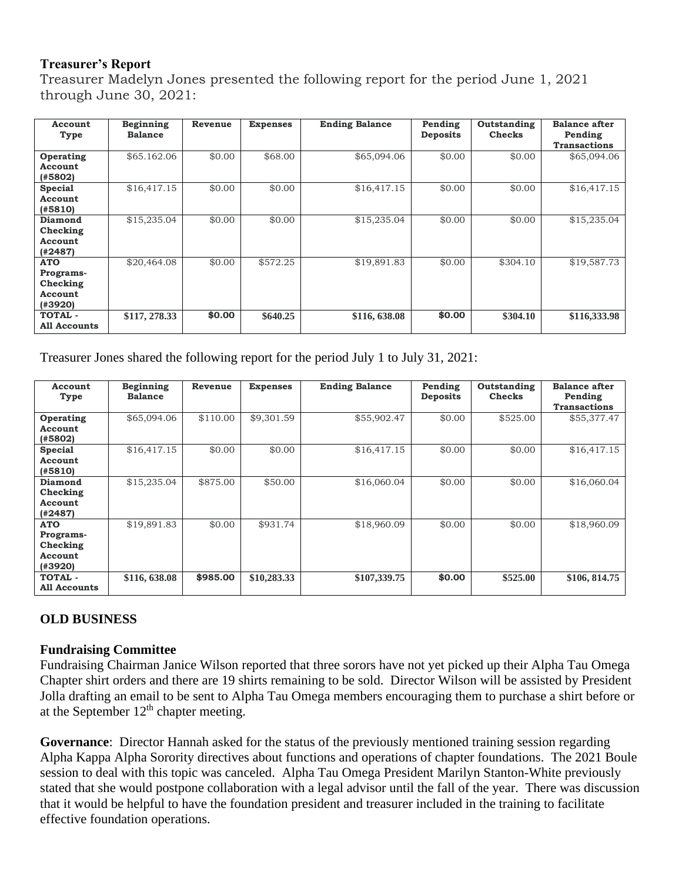#### **Treasurer's Report**

Treasurer Madelyn Jones presented the following report for the period June 1, 2021 through June 30, 2021:

| Account<br>Type  | Beginning<br><b>Balance</b> | Revenue | <b>Expenses</b> | <b>Ending Balance</b> | Pending<br><b>Deposits</b> | Outstanding<br><b>Checks</b> | <b>Balance after</b><br>Pending<br><b>Transactions</b> |
|------------------|-----------------------------|---------|-----------------|-----------------------|----------------------------|------------------------------|--------------------------------------------------------|
|                  |                             |         |                 |                       |                            |                              |                                                        |
| Operating        | \$65.162.06                 | \$0.00  | \$68.00         | \$65,094.06           | \$0.00                     | \$0.00                       | \$65,094.06                                            |
| Account          |                             |         |                 |                       |                            |                              |                                                        |
| (#5802)          |                             |         |                 |                       |                            |                              |                                                        |
| <b>Special</b>   | \$16,417.15                 | \$0.00  | \$0.00          | \$16,417.15           | \$0.00                     | \$0.00                       | \$16,417.15                                            |
| Account          |                             |         |                 |                       |                            |                              |                                                        |
| (#5810)          |                             |         |                 |                       |                            |                              |                                                        |
| Diamond          | \$15,235.04                 | \$0.00  | \$0.00          | \$15,235.04           | \$0.00                     | \$0.00                       | \$15,235.04                                            |
| Checking         |                             |         |                 |                       |                            |                              |                                                        |
| Account          |                             |         |                 |                       |                            |                              |                                                        |
| (42487)          |                             |         |                 |                       |                            |                              |                                                        |
| <b>ATO</b>       | \$20,464.08                 | \$0.00  | \$572.25        | \$19,891.83           | \$0.00                     | \$304.10                     | \$19,587.73                                            |
| <b>Programs-</b> |                             |         |                 |                       |                            |                              |                                                        |
| Checking         |                             |         |                 |                       |                            |                              |                                                        |
| Account          |                             |         |                 |                       |                            |                              |                                                        |
| (#3920)          |                             |         |                 |                       |                            |                              |                                                        |
| <b>TOTAL -</b>   | \$117, 278.33               | \$0.00  | \$640.25        | \$116, 638.08         | \$0.00                     | \$304.10                     | \$116,333.98                                           |
| All Accounts     |                             |         |                 |                       |                            |                              |                                                        |

Treasurer Jones shared the following report for the period July 1 to July 31, 2021:

| Account<br>Type                                           | Beginning<br><b>Balance</b> | Revenue  | <b>Expenses</b> | <b>Ending Balance</b> | Pending<br><b>Deposits</b> | Outstanding<br><b>Checks</b> | <b>Balance after</b><br>Pending<br><b>Transactions</b> |
|-----------------------------------------------------------|-----------------------------|----------|-----------------|-----------------------|----------------------------|------------------------------|--------------------------------------------------------|
| Operating<br>Account<br>(#5802)                           | \$65,094.06                 | \$110.00 | \$9,301.59      | \$55,902.47           | \$0.00                     | \$525.00                     | \$55,377.47                                            |
| Special<br>Account<br>(#5810)                             | \$16,417.15                 | \$0.00   | \$0.00          | \$16,417.15           | \$0.00                     | \$0.00                       | \$16,417.15                                            |
| Diamond<br>Checking<br>Account<br>(#2487)                 | \$15,235.04                 | \$875.00 | \$50.00         | \$16,060.04           | \$0.00                     | \$0.00                       | \$16,060.04                                            |
| <b>ATO</b><br>Programs-<br>Checking<br>Account<br>(#3920) | \$19,891.83                 | \$0.00   | \$931.74        | \$18,960.09           | \$0.00                     | \$0.00                       | \$18,960.09                                            |
| <b>TOTAL -</b><br><b>All Accounts</b>                     | \$116, 638.08               | \$985.00 | \$10,283.33     | \$107,339.75          | \$0.00                     | \$525.00                     | \$106, 814.75                                          |

#### **OLD BUSINESS**

#### **Fundraising Committee**

Fundraising Chairman Janice Wilson reported that three sorors have not yet picked up their Alpha Tau Omega Chapter shirt orders and there are 19 shirts remaining to be sold. Director Wilson will be assisted by President Jolla drafting an email to be sent to Alpha Tau Omega members encouraging them to purchase a shirt before or at the September  $12<sup>th</sup>$  chapter meeting.

**Governance**: Director Hannah asked for the status of the previously mentioned training session regarding Alpha Kappa Alpha Sorority directives about functions and operations of chapter foundations. The 2021 Boule session to deal with this topic was canceled. Alpha Tau Omega President Marilyn Stanton-White previously stated that she would postpone collaboration with a legal advisor until the fall of the year. There was discussion that it would be helpful to have the foundation president and treasurer included in the training to facilitate effective foundation operations.